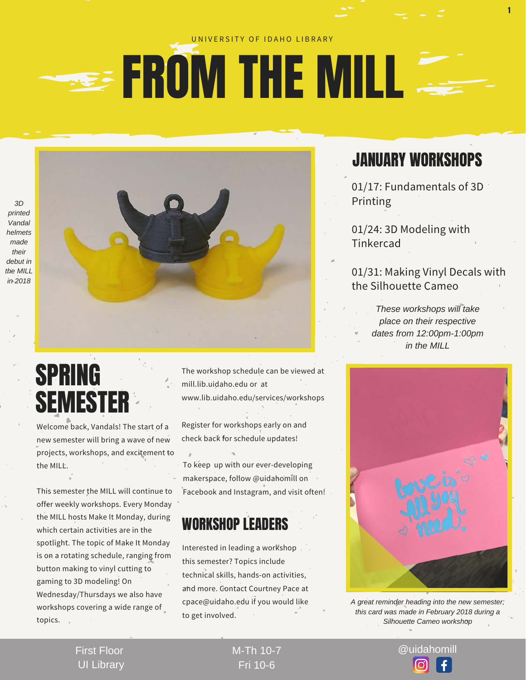#### UNIVERSITY OF IDAHO LIBRARY

## **SEE FROM THE MILL**



Welcome back, Vandals! The start of a new semester will bring a wave of new projects, workshops, and excitement to the MILL'

This semester the MILL will continue to offer weekly workshops. Every Monday the MILL hosts Make It Monday, during which certain activities are in the spotlight. The topic of Make It Monday is on a rotating schedule, ranging from button making to vinyl cutting to gaming to 3D modeling! On Wednesday/Thursdays we also have workshops covering a wide range of topics.

The workshop schedule can be viewed at mill.lib.uidaho.edu or at www.lib.uidaho.edu/services/workshops

Register for workshops early on and check back for schedule updates!

To keep up with our ever-developing makerspace, follow @uidahomill on Facebook and Instagram, and visit often!

#### WORKSHOP LEADERS

Interested in leading a workshop this semester? Topics include technical skills, hands-on activities, and more. Contact Courtney Pace at cpace@uidaho.edu if you would like to get involved.

### JANUARY WORKSHOPS

1

01/17: Fundamentals of 3D Printing

01/24: 3D Modeling with Tinkercad

01/31: Making Vinyl Decals with the Silhouette Cameo

*These workshops will take place on their respective dates from 12:00pm-1:00pm in the MILL*



*A great reminder heading into the new semester; this card was made in February 2018 during a Silhouette Cameo workshop*

First Floor UI Library Fri 10-6

M-Th 10-7 @uidahomill